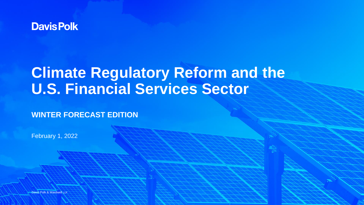

# **Climate Regulatory Reform and the U.S. Financial Services Sector**

### **WINTER FORECAST EDITION**

February 1, 2022

Davis Polk & Wardwell LLF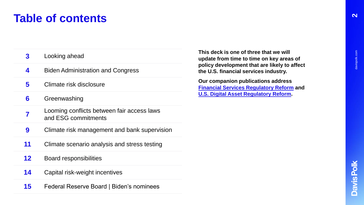# **Table of contents**

| 3       | Looking ahead                                                     |
|---------|-------------------------------------------------------------------|
| 4       | <b>Biden Administration and Congress</b>                          |
| 5       | Climate risk disclosure                                           |
| 6       | Greenwashing                                                      |
|         | Looming conflicts between fair access laws<br>and ESG commitments |
| 9       | Climate risk management and bank supervision                      |
| 11      | Climate scenario analysis and stress testing                      |
| $12 \,$ | <b>Board responsibilities</b>                                     |
| 14      | Capital risk-weight incentives                                    |
|         |                                                                   |

**15** Federal Reserve Board | Biden's nominees

**This deck is one of three that we will update from time to time on key areas of policy development that are likely to affect the U.S. financial services industry.** 

**Our companion publications address [Financial Services Regulatory Reform](https://www.davispolk.com/insights/client-update/davis-polk-financial-services-regulatory-reform-tool-winter-forecast-edition) and [U.S. Digital Asset Regulatory Reform.](https://www.davispolk.com/insights/client-update/us-digital-asset-regulatory-reform)**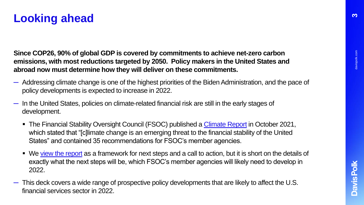**Since COP26, 90% of global GDP is covered by commitments to achieve net-zero carbon emissions, with most reductions targeted by 2050. Policy makers in the United States and abroad now must determine how they will deliver on these commitments.** 

- ─ Addressing climate change is one of the highest priorities of the Biden Administration, and the pace of policy developments is expected to increase in 2022.
- ─ In the United States, policies on climate-related financial risk are still in the early stages of development.
	- The Financial Stability Oversight Council (FSOC) published a *Climate Report* in October 2021, which stated that "[c]limate change is an emerging threat to the financial stability of the United States" and contained 35 recommendations for FSOC's member agencies.
	- We [view the report](https://www.davispolk.com/insights/client-update/fsoc-climate-report-10-key-takeaways-banking-sector) as a framework for next steps and a call to action, but it is short on the details of exactly what the next steps will be, which FSOC's member agencies will likely need to develop in 2022.
- ─ This deck covers a wide range of prospective policy developments that are likely to affect the U.S. financial services sector in 2022.

davispolk.com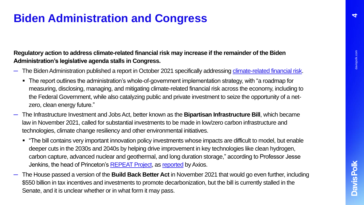### **Biden Administration and Congress**

### **Regulatory action to address climate-related financial risk may increase if the remainder of the Biden Administration's legislative agenda stalls in Congress.**

- The Biden Administration published a report in October 2021 specifically addressing [climate-related financial risk](https://www.whitehouse.gov/wp-content/uploads/2021/10/Climate-Finance-Report.pdf?stream=top).
	- The report outlines the administration's whole-of-government implementation strategy, with "a roadmap for measuring, disclosing, managing, and mitigating climate-related financial risk across the economy, including to the Federal Government, while also catalyzing public and private investment to seize the opportunity of a netzero, clean energy future."
- ─ The Infrastructure Investment and Jobs Act, better known as the **Bipartisan Infrastructure Bill**, which became law in November 2021, called for substantial investments to be made in low/zero carbon infrastructure and technologies, climate change resiliency and other environmental initiatives.
	- "The bill contains very important innovation policy investments whose impacts are difficult to model, but enable deeper cuts in the 2030s and 2040s by helping drive improvement in key technologies like clean hydrogen, carbon capture, advanced nuclear and geothermal, and long duration storage," according to Professor Jesse Jenkins, the head of Princeton's [REPEAT Project,](https://repeatproject.org/) as [reported](https://www.axios.com/infrastructure-bill-climate-change-clean-energy-8b4403e4-b25c-4128-99ea-b2a5069883f3.html) by Axios.
- ─ The House passed a version of the **Build Back Better Act** in November 2021 that would go even further, including \$550 billion in tax incentives and investments to promote decarbonization, but the bill is currently stalled in the Senate, and it is unclear whether or in what form it may pass.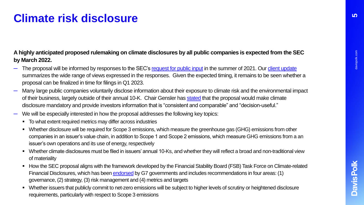# **Climate risk disclosure**

#### **A highly anticipated proposed rulemaking on climate disclosures by all public companies is expected from the SEC by March 2022.**

- The proposal will be informed by responses to the SEC's [request for public input](https://www.sec.gov/news/public-statement/lee-climate-change-disclosures) in the summer of 2021. Our [client update](https://www.davispolk.com/insights/client-update/commenters-weigh-sec-climate-disclosures-request-public-input) summarizes the wide range of views expressed in the responses. Given the expected timing, it remains to be seen whether a proposal can be finalized in time for filings in Q1 2023.
- Many large public companies voluntarily disclose information about their exposure to climate risk and the environmental impact of their business, largely outside of their annual 10-K. Chair Gensler has [stated](https://www.sec.gov/news/speech/gensler-pri-2021-07-28) that the proposal would make climate disclosure mandatory and provide investors information that is "consistent and comparable" and "decision-useful."
- We will be especially interested in how the proposal addresses the following key topics:
	- $\blacksquare$  To what extent required metrics may differ across industries
	- Whether disclosure will be required for Scope 3 emissions, which measure the greenhouse gas (GHG) emissions from other companies in an issuer's value chain, in addition to Scope 1 and Scope 2 emissions, which measure GHG emissions from a an issuer's own operations and its use of energy, respectively
	- Whether climate disclosures must be filed in issuers' annual 10-Ks, and whether they will reflect a broad and non-traditional view of materiality
	- How the SEC proposal aligns with the framework developed by the Financial Stability Board (FSB) Task Force on Climate-related Financial Disclosures, which has been [endorsed](https://home.treasury.gov/news/press-releases/jy0215) by G7 governments and includes recommendations in four areas: (1) governance, (2) strategy, (3) risk management and (4) metrics and targets
	- Whether issuers that publicly commit to net-zero emissions will be subject to higher levels of scrutiny or heightened disclosure requirements, particularly with respect to Scope 3 emissions

davispolk.com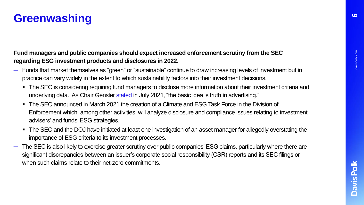# **Greenwashing**

**Fund managers and public companies should expect increased enforcement scrutiny from the SEC regarding ESG investment products and disclosures in 2022.** 

- ─ Funds that market themselves as "green" or "sustainable" continue to draw increasing levels of investment but in practice can vary widely in the extent to which sustainability factors into their investment decisions.
	- The SEC is considering requiring fund managers to disclose more information about their investment criteria and underlying data. As Chair Gensler [stated](https://www.sec.gov/news/speech/gensler-pri-2021-07-28) in July 2021, "the basic idea is truth in advertising."
	- The SEC announced in March 2021 the creation of a Climate and ESG Task Force in the Division of Enforcement which, among other activities, will analyze disclosure and compliance issues relating to investment advisers' and funds' ESG strategies.
	- The SEC and the DOJ have initiated at least one investigation of an asset manager for allegedly overstating the importance of ESG criteria to its investment processes.
- The SEC is also likely to exercise greater scrutiny over public companies' ESG claims, particularly where there are significant discrepancies between an issuer's corporate social responsibility (CSR) reports and its SEC filings or when such claims relate to their net-zero commitments.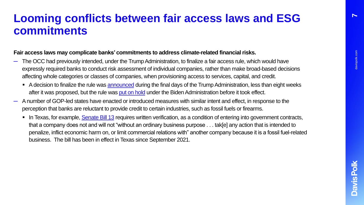**7**

### **Looming conflicts between fair access laws and ESG commitments**

#### **Fair access laws may complicate banks' commitments to address climate-related financial risks.**

- The OCC had previously intended, under the Trump Administration, to finalize a fair access rule, which would have expressly required banks to conduct risk assessment of individual companies, rather than make broad-based decisions affecting whole categories or classes of companies, when provisioning access to services, capital, and credit.
	- A decision to finalize the rule was [announced](https://www.occ.gov/news-issuances/news-releases/2021/nr-occ-2021-8.html) during the final days of the Trump Administration, less than eight weeks after it was proposed, but the rule was [put on hold](https://www.occ.gov/news-issuances/news-releases/2021/nr-occ-2021-14.html) under the Biden Administration before it took effect.
- ─ A number of GOP-led states have enacted or introduced measures with similar intent and effect, in response to the perception that banks are reluctant to provide credit to certain industries, such as fossil fuels or firearms.
	- In Texas, for example, [Senate Bill 13](https://legiscan.com/TX/text/SB13/2021) requires written verification, as a condition of entering into government contracts, that a company does not and will not "without an ordinary business purpose . . . tak[e] any action that is intended to penalize, inflict economic harm on, or limit commercial relations with" another company because it is a fossil fuel-related business. The bill has been in effect in Texas since September 2021.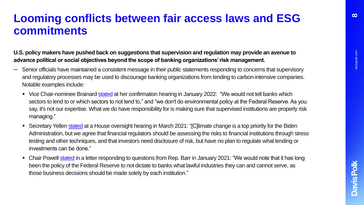### **Looming conflicts between fair access laws and ESG commitments**

**U.S. policy makers have pushed back on suggestions that supervision and regulation may provide an avenue to advance political or social objectives beyond the scope of banking organizations' risk management.** 

- ─ Senior officials have maintained a consistent message in their public statements responding to concerns that supervisory and regulatory processes may be used to discourage banking organizations from lending to carbon-intensive companies. Notable examples include:
	- Vice Chair-nominee Brainard [stated](https://www.banking.senate.gov/hearings/01/04/2022/nomination-hearing-1) at her confirmation hearing in January 2022: "We would not tell banks which sectors to lend to or which sectors to not lend to," and "we don't do environmental policy at the Federal Reserve. As you say, it's not our expertise. What we do have responsibility for is making sure that supervised institutions are properly risk managing."
	- Secretary Yellen [stated](https://financialservices.house.gov/events/eventsingle.aspx?EventID=407279) at a House oversight hearing in March 2021: "[C]limate change is a top priority for the Biden Administration, but we agree that financial regulators should be assessing the risks to financial institutions through stress testing and other techniques, and that investors need disclosure of risk, but have no plan to regulate what lending or investments can be done."
	- Chair Powell [stated](https://www.nytimes.com/2021/01/27/business/the-fed-downplays-the-chance-that-it-will-limit-banks-from-oil-and-gas-lending.html) in a letter responding to questions from Rep. Barr in January 2021: "We would note that it has long been the policy of the Federal Reserve to not dictate to banks what lawful industries they can and cannot serve, as those business decisions should be made solely by each institution."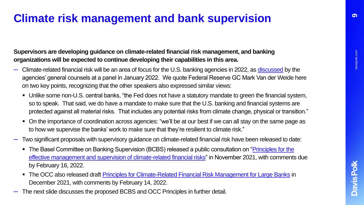<u>6</u>

### **Climate risk management and bank supervision**

#### **Supervisors are developing guidance on climate-related financial risk management, and banking organizations will be expected to continue developing their capabilities in this area.**

- ─ Climate-related financial risk will be an area of focus for the U.S. banking agencies in 2022, as [discussed](https://www.americanbar.org/events-cle/ecd/ondemand/419071705/) by the agencies' general counsels at a panel in January 2022. We quote Federal Reserve GC Mark Van der Weide here on two key points, recognizing that the other speakers also expressed similar views:
	- Unlike some non-U.S. central banks, "the Fed does not have a statutory mandate to green the financial system, so to speak. That said, we do have a mandate to make sure that the U.S. banking and financial systems are protected against all material risks. That includes any potential risks from climate change, physical or transition."
	- On the importance of coordination across agencies: "we'll be at our best if we can all stay on the same page as to how we supervise the banks' work to make sure that they're resilient to climate risk."
- ─ Two significant proposals with supervisory guidance on climate-related financial risk have been released to date:
	- The Basel Committee on Banking Supervision (BCBS) released a public consultation on "Principles for the [effective management and supervision of climate-related financial risks" in November 2021, with comments](https://www.bis.org/press/p211116.htm) due by February 16, 2022.
	- The OCC also released draft [Principles for Climate-Related Financial Risk Management for Large Banks](https://www.occ.gov/news-issuances/bulletins/2021/bulletin-2021-62.html) in December 2021, with comments by February 14, 2022.
- The next slide discusses the proposed BCBS and OCC Principles in further detail.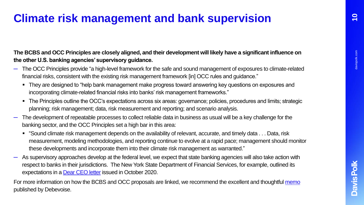### **Climate risk management and bank supervision**

**The BCBS and OCC Principles are closely aligned, and their development will likely have a significant influence on the other U.S. banking agencies' supervisory guidance.** 

- ─ The OCC Principles provide "a high-level framework for the safe and sound management of exposures to climate-related financial risks, consistent with the existing risk management framework [in] OCC rules and guidance."
	- They are designed to "help bank management make progress toward answering key questions on exposures and incorporating climate-related financial risks into banks' risk management frameworks."
	- The Principles outline the OCC's expectations across six areas: governance; policies, procedures and limits; strategic planning; risk management; data, risk measurement and reporting; and scenario analysis.
- The development of repeatable processes to collect reliable data in business as usual will be a key challenge for the banking sector, and the OCC Principles set a high bar in this area:
	- "Sound climate risk management depends on the availability of relevant, accurate, and timely data . . . Data, risk measurement, modeling methodologies, and reporting continue to evolve at a rapid pace; management should monitor these developments and incorporate them into their climate risk management as warranted."
- ─ As supervisory approaches develop at the federal level, we expect that state banking agencies will also take action with respect to banks in their jurisdictions. The New York State Department of Financial Services, for example, outlined its expectations in a [Dear CEO letter](https://www.dfs.ny.gov/industry_guidance/industry_letters/il20201029_climate_change_financial_risks) issued in October 2020.

For more information on how the BCBS and OCC proposals are linked, we recommend the excellent and thoughtful [memo](https://www.debevoise.com/insights/publications/2022/01/occ-and-basel-committee-issue-separate) published by Debevoise.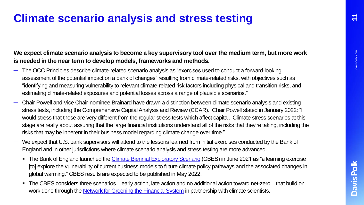## **Climate scenario analysis and stress testing**

### **We expect climate scenario analysis to become a key supervisory tool over the medium term, but more work is needed in the near term to develop models, frameworks and methods.**

- ─ The OCC Principles describe climate-related scenario analysis as "exercises used to conduct a forward-looking assessment of the potential impact on a bank of changes" resulting from climate-related risks, with objectives such as "identifying and measuring vulnerability to relevant climate-related risk factors including physical and transition risks, and estimating climate-related exposures and potential losses across a range of plausible scenarios."
- ─ Chair Powell and Vice Chair-nominee Brainard have drawn a distinction between climate scenario analysis and existing stress tests, including the Comprehensive Capital Analysis and Review (CCAR). Chair Powell stated in January 2022: "I would stress that those are very different from the regular stress tests which affect capital. Climate stress scenarios at this stage are really about assuring that the large financial institutions understand all of the risks that they're taking, including the risks that may be inherent in their business model regarding climate change over time."
- We expect that U.S. bank supervisors will attend to the lessons learned from initial exercises conducted by the Bank of England and in other jurisdictions where climate scenario analysis and stress testing are more advanced.
	- The Bank of England launched the [Climate Biennial Exploratory Scenario](https://www.bankofengland.co.uk/stress-testing/2021/key-elements-2021-biennial-exploratory-scenario-financial-risks-climate-change) (CBES) in June 2021 as "a learning exercise [to] explore the vulnerability of current business models to future climate policy pathways and the associated changes in global warming." CBES results are expected to be published in May 2022.
	- The CBES considers three scenarios early action, late action and no additional action toward net-zero that build on work done through the [Network for Greening the Financial System](https://www.ngfs.net/ngfs-scenarios-portal/) in partnership with climate scientists.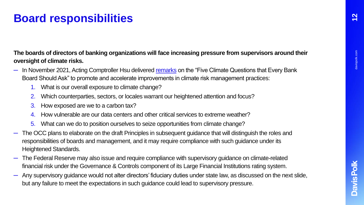# **Board responsibilities**

### **The boards of directors of banking organizations will face increasing pressure from supervisors around their oversight of climate risks.**

- $-$  In November 2021, Acting Comptroller Hsu delivered [remarks](https://www.occ.gov/news-issuances/news-releases/2021/nr-occ-2021-116.html) on the "Five Climate Questions that Every Bank Board Should Ask" to promote and accelerate improvements in climate risk management practices:
	- 1. What is our overall exposure to climate change?
	- 2. Which counterparties, sectors, or locales warrant our heightened attention and focus?
	- 3. How exposed are we to a carbon tax?
	- 4. How vulnerable are our data centers and other critical services to extreme weather?
	- 5. What can we do to position ourselves to seize opportunities from climate change?
- The OCC plans to elaborate on the draft Principles in subsequent guidance that will distinguish the roles and responsibilities of boards and management, and it may require compliance with such guidance under its Heightened Standards.
- The Federal Reserve may also issue and require compliance with supervisory guidance on climate-related financial risk under the Governance & Controls component of its Large Financial Institutions rating system.
- Any supervisory guidance would not alter directors' fiduciary duties under state law, as discussed on the next slide, but any failure to meet the expectations in such guidance could lead to supervisory pressure.

davispolk.com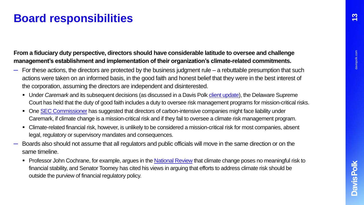# **Board responsibilities**

### **From a fiduciary duty perspective, directors should have considerable latitude to oversee and challenge management's establishment and implementation of their organization's climate-related commitments.**

- $-$  For these actions, the directors are protected by the business judgment rule a rebuttable presumption that such actions were taken on an informed basis, in the good faith and honest belief that they were in the best interest of the corporation, assuming the directors are independent and disinterested.
	- Under *Caremark* and its subsequent decisions (as discussed in a Davis Polk *client update*), the Delaware Supreme Court has held that the duty of good faith includes a duty to oversee risk management programs for mission-critical risks.
	- One [SEC Commissioner](https://www.sec.gov/news/speech/lee-climate-esg-board-of-directors#_ftn43) has suggested that directors of carbon-intensive companies might face liability under Caremark, if climate change is a mission-critical risk and if they fail to oversee a climate risk management program.
	- Climate-related financial risk, however, is unlikely to be considered a mission-critical risk for most companies, absent legal, regulatory or supervisory mandates and consequences.
- ─ Boards also should not assume that all regulators and public officials will move in the same direction or on the same timeline.
	- Professor John Cochrane, for example, argues in the [National Review](https://www.nationalreview.com/2021/11/a-convenient-myth-climate-risk-and-the-financial-system/) that climate change poses no meaningful risk to financial stability, and Senator Toomey has cited his views in arguing that efforts to address climate risk should be outside the purview of financial regulatory policy.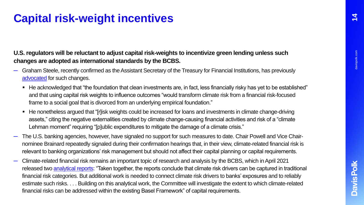### **14**

# **Capital risk-weight incentives**

### **U.S. regulators will be reluctant to adjust capital risk-weights to incentivize green lending unless such changes are adopted as international standards by the BCBS.**

- ─ Graham Steele, recently confirmed as the Assistant Secretary of the Treasury for Financial Institutions, has previously [advocated](https://sites.law.duke.edu/thefinregblog/2020/07/14/esg-carrots-and-climate-sticks-evaluating-the-roles-of-mandates-and-incentives-in-climate-financial-regulation-2/) for such changes.
	- He acknowledged that "the foundation that clean investments are, in fact, less financially risky has yet to be established" and that using capital risk weights to influence outcomes "would transform climate risk from a financial risk-focused frame to a social goal that is divorced from an underlying empirical foundation."
	- He nonetheless argued that "[r]isk weights could be increased for loans and investments in climate change-driving assets," citing the negative externalities created by climate change-causing financial activities and risk of a "climate Lehman moment" requiring "[p]ublic expenditures to mitigate the damage of a climate crisis."
- ─ The U.S. banking agencies, however, have signaled no support for such measures to date. Chair Powell and Vice Chairnominee Brainard repeatedly signaled during their confirmation hearings that, in their view, climate-related financial risk is relevant to banking organizations' risk management but should not affect their capital planning or capital requirements.
- ─ Climate-related financial risk remains an important topic of research and analysis by the BCBS, which in April 2021 released two [analytical reports:](https://www.bis.org/press/p210414.htm) "Taken together, the reports conclude that climate risk drivers can be captured in traditional financial risk categories. But additional work is needed to connect climate risk drivers to banks' exposures and to reliably estimate such risks. . . . Building on this analytical work, the Committee will investigate the extent to which climate-related financial risks can be addressed within the existing Basel Framework" of capital requirements.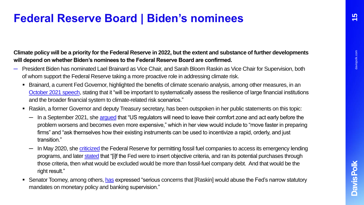### **Federal Reserve Board | Biden's nominees**

#### **Climate policy will be a priority for the Federal Reserve in 2022, but the extent and substance of further developments will depend on whether Biden's nominees to the Federal Reserve Board are confirmed.**

- ─ President Biden has nominated Lael Brainard as Vice Chair, and Sarah Bloom Raskin as Vice Chair for Supervision, both of whom support the Federal Reserve taking a more proactive role in addressing climate risk.
	- Brainard, a current Fed Governor, highlighted the benefits of climate scenario analysis, among other measures, in an [October 2021 speech](https://www.federalreserve.gov/newsevents/speech/brainard20211007a.htm), stating that it "will be important to systematically assess the resilience of large financial institutions and the broader financial system to climate-related risk scenarios."
	- Raskin, a former Governor and deputy Treasury secretary, has been outspoken in her public statements on this topic:
		- In a September 2021, she [argued](https://www.project-syndicate.org/onpoint/us-financial-regulators-climate-change-by-sarah-bloom-raskin-2021-09?barrier=accesspaylog) that "US regulators will need to leave their comfort zone and act early before the problem worsens and becomes even more expensive," which in her view would include to "move faster in preparing firms" and "ask themselves how their existing instruments can be used to incentivize a rapid, orderly, and just transition."
		- In May 2020, she [criticized](https://www.nytimes.com/2020/05/28/opinion/fed-fossil-fuels.html) the Federal Reserve for permitting fossil fuel companies to access its emergency lending programs, and later [stated](https://www.wsj.com/articles/sarah-bloom-raskin-in-her-own-words-11642199669) that "[i]f the Fed were to insert objective criteria, and ran its potential purchases through those criteria, then what would be excluded would be more than fossil-fuel company debt. And that would be the right result."
	- Senator Toomey, among others, [has](https://www.banking.senate.gov/newsroom/minority/toomey-statement-on-president-bidens-fed-nominees) expressed "serious concerns that [Raskin] would abuse the Fed's narrow statutory mandates on monetary policy and banking supervision."